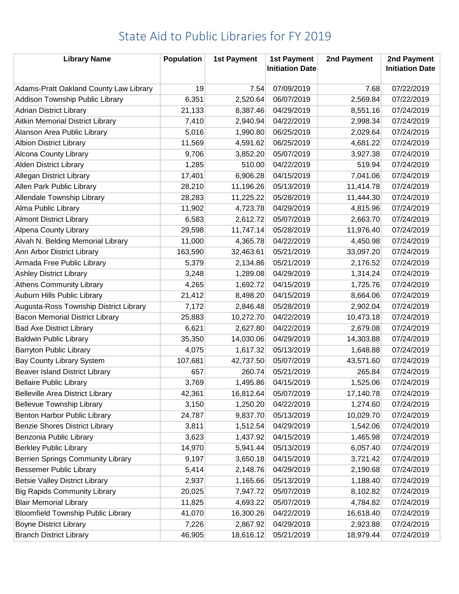| <b>Library Name</b>                       | <b>Population</b> | <b>1st Payment</b> | <b>1st Payment</b><br><b>Initiation Date</b> | 2nd Payment | 2nd Payment<br><b>Initiation Date</b> |
|-------------------------------------------|-------------------|--------------------|----------------------------------------------|-------------|---------------------------------------|
| Adams-Pratt Oakland County Law Library    | 19                | 7.54               | 07/09/2019                                   | 7.68        | 07/22/2019                            |
| Addison Township Public Library           | 6,351             | 2,520.64           | 06/07/2019                                   | 2,569.84    | 07/22/2019                            |
| <b>Adrian District Library</b>            | 21,133            | 8,387.46           | 04/29/2019                                   | 8,551.16    | 07/24/2019                            |
| <b>Aitkin Memorial District Library</b>   | 7,410             | 2,940.94           | 04/22/2019                                   | 2,998.34    | 07/24/2019                            |
| Alanson Area Public Library               | 5,016             | 1,990.80           | 06/25/2019                                   | 2,029.64    | 07/24/2019                            |
| <b>Albion District Library</b>            | 11,569            | 4,591.62           | 06/25/2019                                   | 4,681.22    | 07/24/2019                            |
| Alcona County Library                     | 9,706             | 3,852.20           | 05/07/2019                                   | 3,927.38    | 07/24/2019                            |
| <b>Alden District Library</b>             | 1,285             | 510.00             | 04/22/2019                                   | 519.94      | 07/24/2019                            |
| <b>Allegan District Library</b>           | 17,401            | 6,906.28           | 04/15/2019                                   | 7,041.06    | 07/24/2019                            |
| Allen Park Public Library                 | 28,210            | 11,196.26          | 05/13/2019                                   | 11,414.78   | 07/24/2019                            |
| Allendale Township Library                | 28,283            | 11,225.22          | 05/28/2019                                   | 11,444.30   | 07/24/2019                            |
| Alma Public Library                       | 11,902            | 4,723.78           | 04/29/2019                                   | 4,815.96    | 07/24/2019                            |
| <b>Almont District Library</b>            | 6,583             | 2,612.72           | 05/07/2019                                   | 2,663.70    | 07/24/2019                            |
| <b>Alpena County Library</b>              | 29,598            | 11,747.14          | 05/28/2019                                   | 11,976.40   | 07/24/2019                            |
| Alvah N. Belding Memorial Library         | 11,000            | 4,365.78           | 04/22/2019                                   | 4,450.98    | 07/24/2019                            |
| Ann Arbor District Library                | 163,590           | 32,463.61          | 05/21/2019                                   | 33,097.20   | 07/24/2019                            |
| Armada Free Public Library                | 5,379             | 2,134.86           | 05/21/2019                                   | 2,176.52    | 07/24/2019                            |
| <b>Ashley District Library</b>            | 3,248             | 1,289.08           | 04/29/2019                                   | 1,314.24    | 07/24/2019                            |
| <b>Athens Community Library</b>           | 4,265             | 1,692.72           | 04/15/2019                                   | 1,725.76    | 07/24/2019                            |
| Auburn Hills Public Library               | 21,412            | 8,498.20           | 04/15/2019                                   | 8,664.06    | 07/24/2019                            |
| Augusta-Ross Township District Library    | 7,172             | 2,846.48           | 05/28/2019                                   | 2,902.04    | 07/24/2019                            |
| <b>Bacon Memorial District Library</b>    | 25,883            | 10,272.70          | 04/22/2019                                   | 10,473.18   | 07/24/2019                            |
| <b>Bad Axe District Library</b>           | 6,621             | 2,627.80           | 04/22/2019                                   | 2,679.08    | 07/24/2019                            |
| <b>Baldwin Public Library</b>             | 35,350            | 14,030.06          | 04/29/2019                                   | 14,303.88   | 07/24/2019                            |
| <b>Barryton Public Library</b>            | 4,075             | 1,617.32           | 05/13/2019                                   | 1,648.88    | 07/24/2019                            |
| Bay County Library System                 | 107,681           | 42,737.50          | 05/07/2019                                   | 43,571.60   | 07/24/2019                            |
| <b>Beaver Island District Library</b>     | 657               | 260.74             | 05/21/2019                                   | 265.84      | 07/24/2019                            |
| <b>Bellaire Public Library</b>            | 3,769             | 1,495.86           | 04/15/2019                                   | 1,525.06    | 07/24/2019                            |
| <b>Belleville Area District Library</b>   | 42,361            | 16,812.64          | 05/07/2019                                   | 17,140.78   | 07/24/2019                            |
| <b>Bellevue Township Library</b>          | 3,150             | 1,250.20           | 04/22/2019                                   | 1,274.60    | 07/24/2019                            |
| Benton Harbor Public Library              | 24,787            | 9,837.70           | 05/13/2019                                   | 10,029.70   | 07/24/2019                            |
| <b>Benzie Shores District Library</b>     | 3,811             | 1,512.54           | 04/29/2019                                   | 1,542.06    | 07/24/2019                            |
| Benzonia Public Library                   | 3,623             | 1,437.92           | 04/15/2019                                   | 1,465.98    | 07/24/2019                            |
| <b>Berkley Public Library</b>             | 14,970            | 5,941.44           | 05/13/2019                                   | 6,057.40    | 07/24/2019                            |
| <b>Berrien Springs Community Library</b>  | 9,197             | 3,650.18           | 04/15/2019                                   | 3,721.42    | 07/24/2019                            |
| <b>Bessemer Public Library</b>            | 5,414             | 2,148.76           | 04/29/2019                                   | 2,190.68    | 07/24/2019                            |
| <b>Betsie Valley District Library</b>     | 2,937             | 1,165.66           | 05/13/2019                                   | 1,188.40    | 07/24/2019                            |
| <b>Big Rapids Community Library</b>       | 20,025            | 7,947.72           | 05/07/2019                                   | 8,102.82    | 07/24/2019                            |
| <b>Blair Memorial Library</b>             | 11,825            | 4,693.22           | 05/07/2019                                   | 4,784.82    | 07/24/2019                            |
| <b>Bloomfield Township Public Library</b> | 41,070            | 16,300.26          | 04/22/2019                                   | 16,618.40   | 07/24/2019                            |
| <b>Boyne District Library</b>             | 7,226             | 2,867.92           | 04/29/2019                                   | 2,923.88    | 07/24/2019                            |
| <b>Branch District Library</b>            | 46,905            | 18,616.12          | 05/21/2019                                   | 18,979.44   | 07/24/2019                            |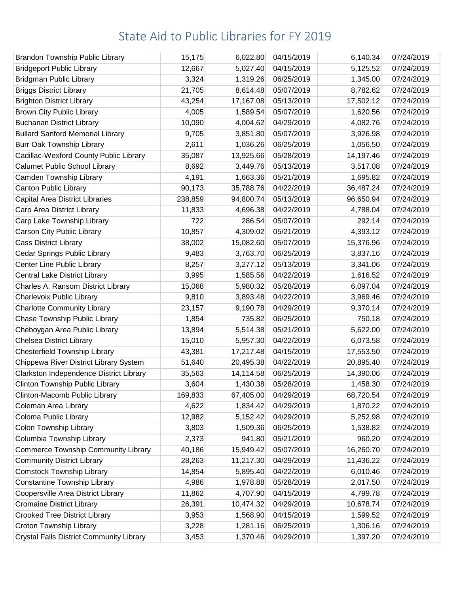| <b>Brandon Township Public Library</b>     | 15,175  | 6,022.80  | 04/15/2019 | 6,140.34  | 07/24/2019 |
|--------------------------------------------|---------|-----------|------------|-----------|------------|
| <b>Bridgeport Public Library</b>           | 12,667  | 5,027.40  | 04/15/2019 | 5,125.52  | 07/24/2019 |
| <b>Bridgman Public Library</b>             | 3,324   | 1,319.26  | 06/25/2019 | 1,345.00  | 07/24/2019 |
| <b>Briggs District Library</b>             | 21,705  | 8,614.48  | 05/07/2019 | 8,782.62  | 07/24/2019 |
| <b>Brighton District Library</b>           | 43,254  | 17,167.08 | 05/13/2019 | 17,502.12 | 07/24/2019 |
| Brown City Public Library                  | 4,005   | 1,589.54  | 05/07/2019 | 1,620.56  | 07/24/2019 |
| <b>Buchanan District Library</b>           | 10,090  | 4,004.62  | 04/29/2019 | 4,082.76  | 07/24/2019 |
| <b>Bullard Sanford Memorial Library</b>    | 9,705   | 3,851.80  | 05/07/2019 | 3,926.98  | 07/24/2019 |
| <b>Burr Oak Township Library</b>           | 2,611   | 1,036.26  | 06/25/2019 | 1,056.50  | 07/24/2019 |
| Cadillac-Wexford County Public Library     | 35,087  | 13,925.66 | 05/28/2019 | 14,197.46 | 07/24/2019 |
| <b>Calumet Public School Library</b>       | 8,692   | 3,449.76  | 05/13/2019 | 3,517.08  | 07/24/2019 |
| Camden Township Library                    | 4,191   | 1,663.36  | 05/21/2019 | 1,695.82  | 07/24/2019 |
| Canton Public Library                      | 90,173  | 35,788.76 | 04/22/2019 | 36,487.24 | 07/24/2019 |
| <b>Capital Area District Libraries</b>     | 238,859 | 94,800.74 | 05/13/2019 | 96,650.94 | 07/24/2019 |
| Caro Area District Library                 | 11,833  | 4,696.38  | 04/22/2019 | 4,788.04  | 07/24/2019 |
| Carp Lake Township Library                 | 722     | 286.54    | 05/07/2019 | 292.14    | 07/24/2019 |
| Carson City Public Library                 | 10,857  | 4,309.02  | 05/21/2019 | 4,393.12  | 07/24/2019 |
| <b>Cass District Library</b>               | 38,002  | 15,082.60 | 05/07/2019 | 15,376.96 | 07/24/2019 |
| Cedar Springs Public Library               | 9,483   | 3,763.70  | 06/25/2019 | 3,837.16  | 07/24/2019 |
| Center Line Public Library                 | 8,257   | 3,277.12  | 05/13/2019 | 3,341.06  | 07/24/2019 |
| <b>Central Lake District Library</b>       | 3,995   | 1,585.56  | 04/22/2019 | 1,616.52  | 07/24/2019 |
| Charles A. Ransom District Library         | 15,068  | 5,980.32  | 05/28/2019 | 6,097.04  | 07/24/2019 |
| Charlevoix Public Library                  | 9,810   | 3,893.48  | 04/22/2019 | 3,969.46  | 07/24/2019 |
| <b>Charlotte Community Library</b>         | 23,157  | 9,190.78  | 04/29/2019 | 9,370.14  | 07/24/2019 |
| Chase Township Public Library              | 1,854   | 735.82    | 06/25/2019 | 750.18    | 07/24/2019 |
| Cheboygan Area Public Library              | 13,894  | 5,514.38  | 05/21/2019 | 5,622.00  | 07/24/2019 |
| <b>Chelsea District Library</b>            | 15,010  | 5,957.30  | 04/22/2019 | 6,073.58  | 07/24/2019 |
| Chesterfield Township Library              | 43,381  | 17,217.48 | 04/15/2019 | 17,553.50 | 07/24/2019 |
| Chippewa River District Library System     | 51,640  | 20,495.38 | 04/22/2019 | 20,895.40 | 07/24/2019 |
| Clarkston Independence District Library    | 35,563  | 14,114.58 | 06/25/2019 | 14,390.06 | 07/24/2019 |
| Clinton Township Public Library            | 3,604   | 1,430.38  | 05/28/2019 | 1,458.30  | 07/24/2019 |
| Clinton-Macomb Public Library              | 169,833 | 67,405.00 | 04/29/2019 | 68,720.54 | 07/24/2019 |
| Coleman Area Library                       | 4,622   | 1,834.42  | 04/29/2019 | 1,870.22  | 07/24/2019 |
| Coloma Public Library                      | 12,982  | 5,152.42  | 04/29/2019 | 5,252.98  | 07/24/2019 |
| <b>Colon Township Library</b>              | 3,803   | 1,509.36  | 06/25/2019 | 1,538.82  | 07/24/2019 |
| Columbia Township Library                  | 2,373   | 941.80    | 05/21/2019 | 960.20    | 07/24/2019 |
| <b>Commerce Township Community Library</b> | 40,186  | 15,949.42 | 05/07/2019 | 16,260.70 | 07/24/2019 |
| <b>Community District Library</b>          | 28,263  | 11,217.30 | 04/29/2019 | 11,436.22 | 07/24/2019 |
| <b>Comstock Township Library</b>           | 14,854  | 5,895.40  | 04/22/2019 | 6,010.46  | 07/24/2019 |
| <b>Constantine Township Library</b>        | 4,986   | 1,978.88  | 05/28/2019 | 2,017.50  | 07/24/2019 |
| Coopersville Area District Library         | 11,862  | 4,707.90  | 04/15/2019 | 4,799.78  | 07/24/2019 |
| <b>Cromaine District Library</b>           | 26,391  | 10,474.32 | 04/29/2019 | 10,678.74 | 07/24/2019 |
| <b>Crooked Tree District Library</b>       | 3,953   | 1,568.90  | 04/15/2019 | 1,599.52  | 07/24/2019 |
| Croton Township Library                    | 3,228   | 1,281.16  | 06/25/2019 | 1,306.16  | 07/24/2019 |
| Crystal Falls District Community Library   | 3,453   | 1,370.46  | 04/29/2019 | 1,397.20  | 07/24/2019 |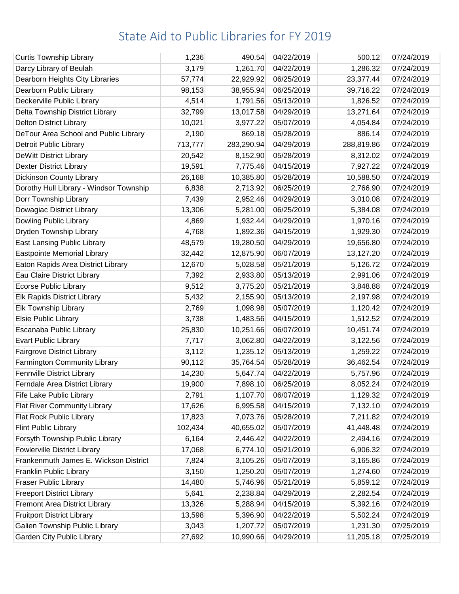| <b>Curtis Township Library</b>          | 1,236   | 490.54     | 04/22/2019 | 500.12     | 07/24/2019 |
|-----------------------------------------|---------|------------|------------|------------|------------|
| Darcy Library of Beulah                 | 3,179   | 1,261.70   | 04/22/2019 | 1,286.32   | 07/24/2019 |
| Dearborn Heights City Libraries         | 57,774  | 22,929.92  | 06/25/2019 | 23,377.44  | 07/24/2019 |
| Dearborn Public Library                 | 98,153  | 38,955.94  | 06/25/2019 | 39,716.22  | 07/24/2019 |
| Deckerville Public Library              | 4,514   | 1,791.56   | 05/13/2019 | 1,826.52   | 07/24/2019 |
| Delta Township District Library         | 32,799  | 13,017.58  | 04/29/2019 | 13,271.64  | 07/24/2019 |
| <b>Delton District Library</b>          | 10,021  | 3,977.22   | 05/07/2019 | 4,054.84   | 07/24/2019 |
| DeTour Area School and Public Library   | 2,190   | 869.18     | 05/28/2019 | 886.14     | 07/24/2019 |
| <b>Detroit Public Library</b>           | 713,777 | 283,290.94 | 04/29/2019 | 288,819.86 | 07/24/2019 |
| DeWitt District Library                 | 20,542  | 8,152.90   | 05/28/2019 | 8,312.02   | 07/24/2019 |
| <b>Dexter District Library</b>          | 19,591  | 7,775.46   | 04/15/2019 | 7,927.22   | 07/24/2019 |
| Dickinson County Library                | 26,168  | 10,385.80  | 05/28/2019 | 10,588.50  | 07/24/2019 |
| Dorothy Hull Library - Windsor Township | 6,838   | 2,713.92   | 06/25/2019 | 2,766.90   | 07/24/2019 |
| Dorr Township Library                   | 7,439   | 2,952.46   | 04/29/2019 | 3,010.08   | 07/24/2019 |
| Dowagiac District Library               | 13,306  | 5,281.00   | 06/25/2019 | 5,384.08   | 07/24/2019 |
| Dowling Public Library                  | 4,869   | 1,932.44   | 04/29/2019 | 1,970.16   | 07/24/2019 |
| Dryden Township Library                 | 4,768   | 1,892.36   | 04/15/2019 | 1,929.30   | 07/24/2019 |
| <b>East Lansing Public Library</b>      | 48,579  | 19,280.50  | 04/29/2019 | 19,656.80  | 07/24/2019 |
| <b>Eastpointe Memorial Library</b>      | 32,442  | 12,875.90  | 06/07/2019 | 13,127.20  | 07/24/2019 |
| Eaton Rapids Area District Library      | 12,670  | 5,028.58   | 05/21/2019 | 5,126.72   | 07/24/2019 |
| Eau Claire District Library             | 7,392   | 2,933.80   | 05/13/2019 | 2,991.06   | 07/24/2019 |
| <b>Ecorse Public Library</b>            | 9,512   | 3,775.20   | 05/21/2019 | 3,848.88   | 07/24/2019 |
| Elk Rapids District Library             | 5,432   | 2,155.90   | 05/13/2019 | 2,197.98   | 07/24/2019 |
| Elk Township Library                    | 2,769   | 1,098.98   | 05/07/2019 | 1,120.42   | 07/24/2019 |
| Elsie Public Library                    | 3,738   | 1,483.56   | 04/15/2019 | 1,512.52   | 07/24/2019 |
| Escanaba Public Library                 | 25,830  | 10,251.66  | 06/07/2019 | 10,451.74  | 07/24/2019 |
| <b>Evart Public Library</b>             | 7,717   | 3,062.80   | 04/22/2019 | 3,122.56   | 07/24/2019 |
| <b>Fairgrove District Library</b>       | 3,112   | 1,235.12   | 05/13/2019 | 1,259.22   | 07/24/2019 |
| Farmington Community Library            | 90,112  | 35,764.54  | 05/28/2019 | 36,462.54  | 07/24/2019 |
| <b>Fennville District Library</b>       | 14,230  | 5,647.74   | 04/22/2019 | 5,757.96   | 07/24/2019 |
| Ferndale Area District Library          | 19,900  | 7,898.10   | 06/25/2019 | 8,052.24   | 07/24/2019 |
| Fife Lake Public Library                | 2,791   | 1,107.70   | 06/07/2019 | 1,129.32   | 07/24/2019 |
| <b>Flat River Community Library</b>     | 17,626  | 6,995.58   | 04/15/2019 | 7,132.10   | 07/24/2019 |
| Flat Rock Public Library                | 17,823  | 7,073.76   | 05/28/2019 | 7,211.82   | 07/24/2019 |
| <b>Flint Public Library</b>             | 102,434 | 40,655.02  | 05/07/2019 | 41,448.48  | 07/24/2019 |
| Forsyth Township Public Library         | 6,164   | 2,446.42   | 04/22/2019 | 2,494.16   | 07/24/2019 |
| <b>Fowlerville District Library</b>     | 17,068  | 6,774.10   | 05/21/2019 | 6,906.32   | 07/24/2019 |
| Frankenmuth James E. Wickson District   | 7,824   | 3,105.26   | 05/07/2019 | 3,165.86   | 07/24/2019 |
| Franklin Public Library                 | 3,150   | 1,250.20   | 05/07/2019 | 1,274.60   | 07/24/2019 |
| <b>Fraser Public Library</b>            | 14,480  | 5,746.96   | 05/21/2019 | 5,859.12   | 07/24/2019 |
| <b>Freeport District Library</b>        | 5,641   | 2,238.84   | 04/29/2019 | 2,282.54   | 07/24/2019 |
| <b>Fremont Area District Library</b>    | 13,326  | 5,288.94   | 04/15/2019 | 5,392.16   | 07/24/2019 |
| <b>Fruitport District Library</b>       | 13,598  | 5,396.90   | 04/22/2019 | 5,502.24   | 07/24/2019 |
| Galien Township Public Library          | 3,043   | 1,207.72   | 05/07/2019 | 1,231.30   | 07/25/2019 |
| <b>Garden City Public Library</b>       | 27,692  | 10,990.66  | 04/29/2019 | 11,205.18  | 07/25/2019 |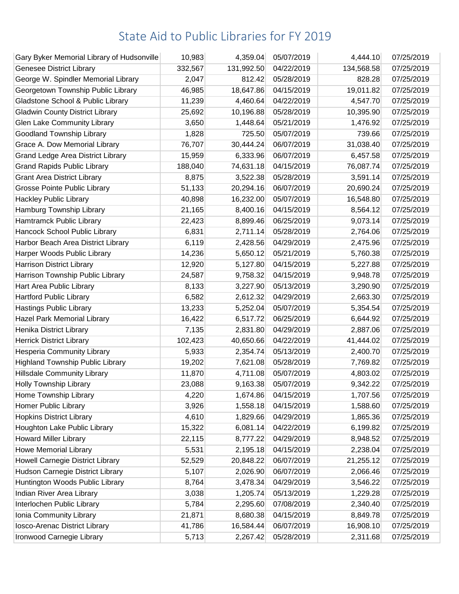| Gary Byker Memorial Library of Hudsonville | 10,983  | 4,359.04   | 05/07/2019 | 4,444.10   | 07/25/2019 |
|--------------------------------------------|---------|------------|------------|------------|------------|
| <b>Genesee District Library</b>            | 332,567 | 131,992.50 | 04/22/2019 | 134,568.58 | 07/25/2019 |
| George W. Spindler Memorial Library        | 2,047   | 812.42     | 05/28/2019 | 828.28     | 07/25/2019 |
| Georgetown Township Public Library         | 46,985  | 18,647.86  | 04/15/2019 | 19,011.82  | 07/25/2019 |
| Gladstone School & Public Library          | 11,239  | 4,460.64   | 04/22/2019 | 4,547.70   | 07/25/2019 |
| <b>Gladwin County District Library</b>     | 25,692  | 10,196.88  | 05/28/2019 | 10,395.90  | 07/25/2019 |
| <b>Glen Lake Community Library</b>         | 3,650   | 1,448.64   | 05/21/2019 | 1,476.92   | 07/25/2019 |
| Goodland Township Library                  | 1,828   | 725.50     | 05/07/2019 | 739.66     | 07/25/2019 |
| Grace A. Dow Memorial Library              | 76,707  | 30,444.24  | 06/07/2019 | 31,038.40  | 07/25/2019 |
| <b>Grand Ledge Area District Library</b>   | 15,959  | 6,333.96   | 06/07/2019 | 6,457.58   | 07/25/2019 |
| <b>Grand Rapids Public Library</b>         | 188,040 | 74,631.18  | 04/15/2019 | 76,087.74  | 07/25/2019 |
| <b>Grant Area District Library</b>         | 8,875   | 3,522.38   | 05/28/2019 | 3,591.14   | 07/25/2019 |
| <b>Grosse Pointe Public Library</b>        | 51,133  | 20,294.16  | 06/07/2019 | 20,690.24  | 07/25/2019 |
| <b>Hackley Public Library</b>              | 40,898  | 16,232.00  | 05/07/2019 | 16,548.80  | 07/25/2019 |
| Hamburg Township Library                   | 21,165  | 8,400.16   | 04/15/2019 | 8,564.12   | 07/25/2019 |
| Hamtramck Public Library                   | 22,423  | 8,899.46   | 06/25/2019 | 9,073.14   | 07/25/2019 |
| Hancock School Public Library              | 6,831   | 2,711.14   | 05/28/2019 | 2,764.06   | 07/25/2019 |
| Harbor Beach Area District Library         | 6,119   | 2,428.56   | 04/29/2019 | 2,475.96   | 07/25/2019 |
| Harper Woods Public Library                | 14,236  | 5,650.12   | 05/21/2019 | 5,760.38   | 07/25/2019 |
| <b>Harrison District Library</b>           | 12,920  | 5,127.80   | 04/15/2019 | 5,227.88   | 07/25/2019 |
| Harrison Township Public Library           | 24,587  | 9,758.32   | 04/15/2019 | 9,948.78   | 07/25/2019 |
| Hart Area Public Library                   | 8,133   | 3,227.90   | 05/13/2019 | 3,290.90   | 07/25/2019 |
| <b>Hartford Public Library</b>             | 6,582   | 2,612.32   | 04/29/2019 | 2,663.30   | 07/25/2019 |
| <b>Hastings Public Library</b>             | 13,233  | 5,252.04   | 05/07/2019 | 5,354.54   | 07/25/2019 |
| Hazel Park Memorial Library                | 16,422  | 6,517.72   | 06/25/2019 | 6,644.92   | 07/25/2019 |
| Henika District Library                    | 7,135   | 2,831.80   | 04/29/2019 | 2,887.06   | 07/25/2019 |
| <b>Herrick District Library</b>            | 102,423 | 40,650.66  | 04/22/2019 | 41,444.02  | 07/25/2019 |
| <b>Hesperia Community Library</b>          | 5,933   | 2,354.74   | 05/13/2019 | 2,400.70   | 07/25/2019 |
| <b>Highland Township Public Library</b>    | 19,202  | 7,621.08   | 05/28/2019 | 7,769.82   | 07/25/2019 |
| <b>Hillsdale Community Library</b>         | 11,870  | 4,711.08   | 05/07/2019 | 4,803.02   | 07/25/2019 |
| <b>Holly Township Library</b>              | 23,088  | 9,163.38   | 05/07/2019 | 9,342.22   | 07/25/2019 |
| Home Township Library                      | 4,220   | 1,674.86   | 04/15/2019 | 1,707.56   | 07/25/2019 |
| Homer Public Library                       | 3,926   | 1,558.18   | 04/15/2019 | 1,588.60   | 07/25/2019 |
| <b>Hopkins District Library</b>            | 4,610   | 1,829.66   | 04/29/2019 | 1,865.36   | 07/25/2019 |
| Houghton Lake Public Library               | 15,322  | 6,081.14   | 04/22/2019 | 6,199.82   | 07/25/2019 |
| <b>Howard Miller Library</b>               | 22,115  | 8,777.22   | 04/29/2019 | 8,948.52   | 07/25/2019 |
| <b>Howe Memorial Library</b>               | 5,531   | 2,195.18   | 04/15/2019 | 2,238.04   | 07/25/2019 |
| <b>Howell Carnegie District Library</b>    | 52,529  | 20,848.22  | 06/07/2019 | 21,255.12  | 07/25/2019 |
| Hudson Carnegie District Library           | 5,107   | 2,026.90   | 06/07/2019 | 2,066.46   | 07/25/2019 |
| Huntington Woods Public Library            | 8,764   | 3,478.34   | 04/29/2019 | 3,546.22   | 07/25/2019 |
| Indian River Area Library                  | 3,038   | 1,205.74   | 05/13/2019 | 1,229.28   | 07/25/2019 |
| Interlochen Public Library                 | 5,784   | 2,295.60   | 07/08/2019 | 2,340.40   | 07/25/2019 |
| Ionia Community Library                    | 21,871  | 8,680.38   | 04/15/2019 | 8,849.78   | 07/25/2019 |
| Iosco-Arenac District Library              | 41,786  | 16,584.44  | 06/07/2019 | 16,908.10  | 07/25/2019 |
| Ironwood Carnegie Library                  | 5,713   | 2,267.42   | 05/28/2019 | 2,311.68   | 07/25/2019 |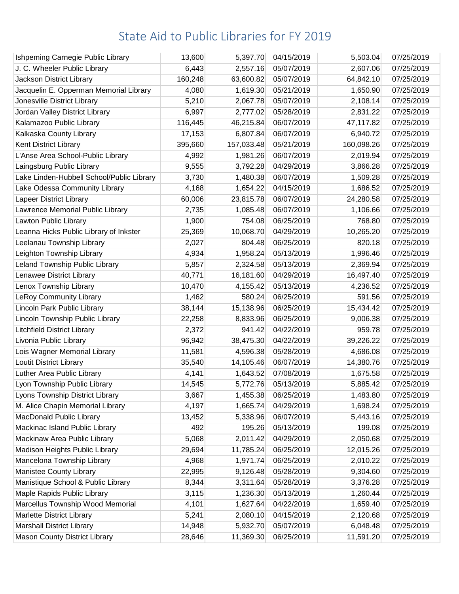| Ishpeming Carnegie Public Library         | 13,600  | 5,397.70   | 04/15/2019 | 5,503.04   | 07/25/2019 |
|-------------------------------------------|---------|------------|------------|------------|------------|
| J. C. Wheeler Public Library              | 6,443   | 2,557.16   | 05/07/2019 | 2,607.06   | 07/25/2019 |
| Jackson District Library                  | 160,248 | 63,600.82  | 05/07/2019 | 64,842.10  | 07/25/2019 |
| Jacquelin E. Opperman Memorial Library    | 4,080   | 1,619.30   | 05/21/2019 | 1,650.90   | 07/25/2019 |
| Jonesville District Library               | 5,210   | 2,067.78   | 05/07/2019 | 2,108.14   | 07/25/2019 |
| Jordan Valley District Library            | 6,997   | 2,777.02   | 05/28/2019 | 2,831.22   | 07/25/2019 |
| Kalamazoo Public Library                  | 116,445 | 46,215.84  | 06/07/2019 | 47,117.82  | 07/25/2019 |
| Kalkaska County Library                   | 17,153  | 6,807.84   | 06/07/2019 | 6,940.72   | 07/25/2019 |
| Kent District Library                     | 395,660 | 157,033.48 | 05/21/2019 | 160,098.26 | 07/25/2019 |
| L'Anse Area School-Public Library         | 4,992   | 1,981.26   | 06/07/2019 | 2,019.94   | 07/25/2019 |
| Laingsburg Public Library                 | 9,555   | 3,792.28   | 04/29/2019 | 3,866.28   | 07/25/2019 |
| Lake Linden-Hubbell School/Public Library | 3,730   | 1,480.38   | 06/07/2019 | 1,509.28   | 07/25/2019 |
| Lake Odessa Community Library             | 4,168   | 1,654.22   | 04/15/2019 | 1,686.52   | 07/25/2019 |
| Lapeer District Library                   | 60,006  | 23,815.78  | 06/07/2019 | 24,280.58  | 07/25/2019 |
| Lawrence Memorial Public Library          | 2,735   | 1,085.48   | 06/07/2019 | 1,106.66   | 07/25/2019 |
| Lawton Public Library                     | 1,900   | 754.08     | 06/25/2019 | 768.80     | 07/25/2019 |
| Leanna Hicks Public Library of Inkster    | 25,369  | 10,068.70  | 04/29/2019 | 10,265.20  | 07/25/2019 |
| Leelanau Township Library                 | 2,027   | 804.48     | 06/25/2019 | 820.18     | 07/25/2019 |
| Leighton Township Library                 | 4,934   | 1,958.24   | 05/13/2019 | 1,996.46   | 07/25/2019 |
| Leland Township Public Library            | 5,857   | 2,324.58   | 05/13/2019 | 2,369.94   | 07/25/2019 |
| Lenawee District Library                  | 40,771  | 16,181.60  | 04/29/2019 | 16,497.40  | 07/25/2019 |
| Lenox Township Library                    | 10,470  | 4,155.42   | 05/13/2019 | 4,236.52   | 07/25/2019 |
| <b>LeRoy Community Library</b>            | 1,462   | 580.24     | 06/25/2019 | 591.56     | 07/25/2019 |
| Lincoln Park Public Library               | 38,144  | 15,138.96  | 06/25/2019 | 15,434.42  | 07/25/2019 |
| Lincoln Township Public Library           | 22,258  | 8,833.96   | 06/25/2019 | 9,006.38   | 07/25/2019 |
| <b>Litchfield District Library</b>        | 2,372   | 941.42     | 04/22/2019 | 959.78     | 07/25/2019 |
| Livonia Public Library                    | 96,942  | 38,475.30  | 04/22/2019 | 39,226.22  | 07/25/2019 |
| Lois Wagner Memorial Library              | 11,581  | 4,596.38   | 05/28/2019 | 4,686.08   | 07/25/2019 |
| <b>Loutit District Library</b>            | 35,540  | 14,105.46  | 06/07/2019 | 14,380.76  | 07/25/2019 |
| Luther Area Public Library                | 4,141   | 1,643.52   | 07/08/2019 | 1,675.58   | 07/25/2019 |
| Lyon Township Public Library              | 14,545  | 5,772.76   | 05/13/2019 | 5,885.42   | 07/25/2019 |
| Lyons Township District Library           | 3,667   | 1,455.38   | 06/25/2019 | 1,483.80   | 07/25/2019 |
| M. Alice Chapin Memorial Library          | 4,197   | 1,665.74   | 04/29/2019 | 1,698.24   | 07/25/2019 |
| MacDonald Public Library                  | 13,452  | 5,338.96   | 06/07/2019 | 5,443.16   | 07/25/2019 |
| Mackinac Island Public Library            | 492     | 195.26     | 05/13/2019 | 199.08     | 07/25/2019 |
| Mackinaw Area Public Library              | 5,068   | 2,011.42   | 04/29/2019 | 2,050.68   | 07/25/2019 |
| Madison Heights Public Library            | 29,694  | 11,785.24  | 06/25/2019 | 12,015.26  | 07/25/2019 |
| Mancelona Township Library                | 4,968   | 1,971.74   | 06/25/2019 | 2,010.22   | 07/25/2019 |
| Manistee County Library                   | 22,995  | 9,126.48   | 05/28/2019 | 9,304.60   | 07/25/2019 |
| Manistique School & Public Library        | 8,344   | 3,311.64   | 05/28/2019 | 3,376.28   | 07/25/2019 |
| Maple Rapids Public Library               | 3,115   | 1,236.30   | 05/13/2019 | 1,260.44   | 07/25/2019 |
| Marcellus Township Wood Memorial          | 4,101   | 1,627.64   | 04/22/2019 | 1,659.40   | 07/25/2019 |
| Marlette District Library                 | 5,241   | 2,080.10   | 04/15/2019 | 2,120.68   | 07/25/2019 |
| <b>Marshall District Library</b>          | 14,948  | 5,932.70   | 05/07/2019 | 6,048.48   | 07/25/2019 |
| <b>Mason County District Library</b>      | 28,646  | 11,369.30  | 06/25/2019 | 11,591.20  | 07/25/2019 |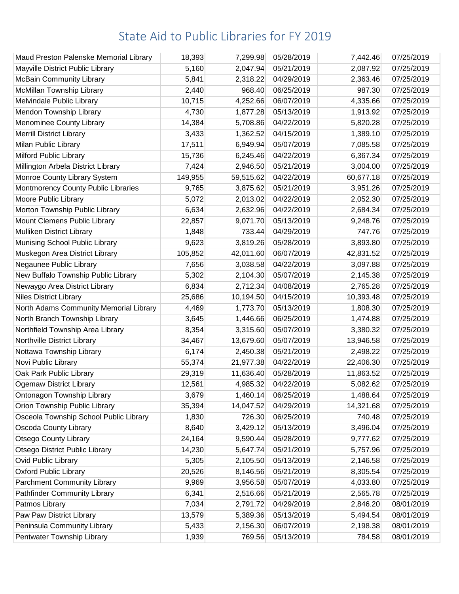| Maud Preston Palenske Memorial Library | 18,393  | 7,299.98  | 05/28/2019 | 7,442.46  | 07/25/2019 |
|----------------------------------------|---------|-----------|------------|-----------|------------|
| Mayville District Public Library       | 5,160   | 2,047.94  | 05/21/2019 | 2,087.92  | 07/25/2019 |
| <b>McBain Community Library</b>        | 5,841   | 2,318.22  | 04/29/2019 | 2,363.46  | 07/25/2019 |
| McMillan Township Library              | 2,440   | 968.40    | 06/25/2019 | 987.30    | 07/25/2019 |
| Melvindale Public Library              | 10,715  | 4,252.66  | 06/07/2019 | 4,335.66  | 07/25/2019 |
| Mendon Township Library                | 4,730   | 1,877.28  | 05/13/2019 | 1,913.92  | 07/25/2019 |
| Menominee County Library               | 14,384  | 5,708.86  | 04/22/2019 | 5,820.28  | 07/25/2019 |
| <b>Merrill District Library</b>        | 3,433   | 1,362.52  | 04/15/2019 | 1,389.10  | 07/25/2019 |
| Milan Public Library                   | 17,511  | 6,949.94  | 05/07/2019 | 7,085.58  | 07/25/2019 |
| Milford Public Library                 | 15,736  | 6,245.46  | 04/22/2019 | 6,367.34  | 07/25/2019 |
| Millington Arbela District Library     | 7,424   | 2,946.50  | 05/21/2019 | 3,004.00  | 07/25/2019 |
| Monroe County Library System           | 149,955 | 59,515.62 | 04/22/2019 | 60,677.18 | 07/25/2019 |
| Montmorency County Public Libraries    | 9,765   | 3,875.62  | 05/21/2019 | 3,951.26  | 07/25/2019 |
| Moore Public Library                   | 5,072   | 2,013.02  | 04/22/2019 | 2,052.30  | 07/25/2019 |
| Morton Township Public Library         | 6,634   | 2,632.96  | 04/22/2019 | 2,684.34  | 07/25/2019 |
| Mount Clemens Public Library           | 22,857  | 9,071.70  | 05/13/2019 | 9,248.76  | 07/25/2019 |
| Mulliken District Library              | 1,848   | 733.44    | 04/29/2019 | 747.76    | 07/25/2019 |
| Munising School Public Library         | 9,623   | 3,819.26  | 05/28/2019 | 3,893.80  | 07/25/2019 |
| Muskegon Area District Library         | 105,852 | 42,011.60 | 06/07/2019 | 42,831.52 | 07/25/2019 |
| Negaunee Public Library                | 7,656   | 3,038.58  | 04/22/2019 | 3,097.88  | 07/25/2019 |
| New Buffalo Township Public Library    | 5,302   | 2,104.30  | 05/07/2019 | 2,145.38  | 07/25/2019 |
| Newaygo Area District Library          | 6,834   | 2,712.34  | 04/08/2019 | 2,765.28  | 07/25/2019 |
| <b>Niles District Library</b>          | 25,686  | 10,194.50 | 04/15/2019 | 10,393.48 | 07/25/2019 |
| North Adams Community Memorial Library | 4,469   | 1,773.70  | 05/13/2019 | 1,808.30  | 07/25/2019 |
| North Branch Township Library          | 3,645   | 1,446.66  | 06/25/2019 | 1,474.88  | 07/25/2019 |
| Northfield Township Area Library       | 8,354   | 3,315.60  | 05/07/2019 | 3,380.32  | 07/25/2019 |
| Northville District Library            | 34,467  | 13,679.60 | 05/07/2019 | 13,946.58 | 07/25/2019 |
| Nottawa Township Library               | 6,174   | 2,450.38  | 05/21/2019 | 2,498.22  | 07/25/2019 |
| Novi Public Library                    | 55,374  | 21,977.38 | 04/22/2019 | 22,406.30 | 07/25/2019 |
| Oak Park Public Library                | 29,319  | 11,636.40 | 05/28/2019 | 11,863.52 | 07/25/2019 |
| <b>Ogemaw District Library</b>         | 12,561  | 4,985.32  | 04/22/2019 | 5,082.62  | 07/25/2019 |
| Ontonagon Township Library             | 3,679   | 1,460.14  | 06/25/2019 | 1,488.64  | 07/25/2019 |
| Orion Township Public Library          | 35,394  | 14,047.52 | 04/29/2019 | 14,321.68 | 07/25/2019 |
| Osceola Township School Public Library | 1,830   | 726.30    | 06/25/2019 | 740.48    | 07/25/2019 |
| <b>Oscoda County Library</b>           | 8,640   | 3,429.12  | 05/13/2019 | 3,496.04  | 07/25/2019 |
| <b>Otsego County Library</b>           | 24,164  | 9,590.44  | 05/28/2019 | 9,777.62  | 07/25/2019 |
| <b>Otsego District Public Library</b>  | 14,230  | 5,647.74  | 05/21/2019 | 5,757.96  | 07/25/2019 |
| <b>Ovid Public Library</b>             | 5,305   | 2,105.50  | 05/13/2019 | 2,146.58  | 07/25/2019 |
| <b>Oxford Public Library</b>           | 20,526  | 8,146.56  | 05/21/2019 | 8,305.54  | 07/25/2019 |
| <b>Parchment Community Library</b>     | 9,969   | 3,956.58  | 05/07/2019 | 4,033.80  | 07/25/2019 |
| <b>Pathfinder Community Library</b>    | 6,341   | 2,516.66  | 05/21/2019 | 2,565.78  | 07/25/2019 |
| Patmos Library                         | 7,034   | 2,791.72  | 04/29/2019 | 2,846.20  | 08/01/2019 |
| Paw Paw District Library               | 13,579  | 5,389.36  | 05/13/2019 | 5,494.54  | 08/01/2019 |
| Peninsula Community Library            | 5,433   | 2,156.30  | 06/07/2019 | 2,198.38  | 08/01/2019 |
| Pentwater Township Library             | 1,939   | 769.56    | 05/13/2019 | 784.58    | 08/01/2019 |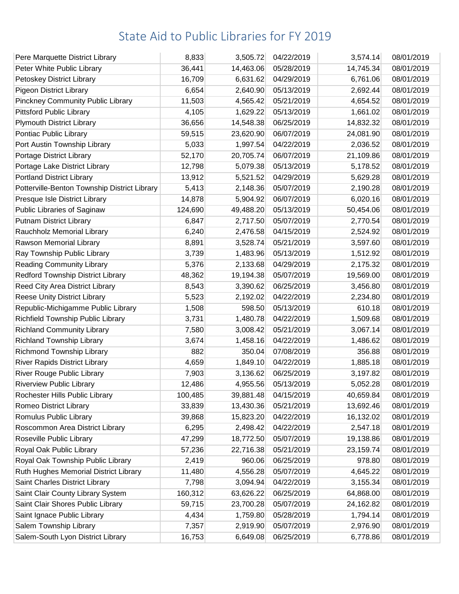| Pere Marquette District Library              | 8,833   | 3,505.72  | 04/22/2019 | 3,574.14  | 08/01/2019 |
|----------------------------------------------|---------|-----------|------------|-----------|------------|
| Peter White Public Library                   | 36,441  | 14,463.06 | 05/28/2019 | 14,745.34 | 08/01/2019 |
| Petoskey District Library                    | 16,709  | 6,631.62  | 04/29/2019 | 6,761.06  | 08/01/2019 |
| <b>Pigeon District Library</b>               | 6,654   | 2,640.90  | 05/13/2019 | 2,692.44  | 08/01/2019 |
| <b>Pinckney Community Public Library</b>     | 11,503  | 4,565.42  | 05/21/2019 | 4,654.52  | 08/01/2019 |
| <b>Pittsford Public Library</b>              | 4,105   | 1,629.22  | 05/13/2019 | 1,661.02  | 08/01/2019 |
| <b>Plymouth District Library</b>             | 36,656  | 14,548.38 | 06/25/2019 | 14,832.32 | 08/01/2019 |
| Pontiac Public Library                       | 59,515  | 23,620.90 | 06/07/2019 | 24,081.90 | 08/01/2019 |
| Port Austin Township Library                 | 5,033   | 1,997.54  | 04/22/2019 | 2,036.52  | 08/01/2019 |
| Portage District Library                     | 52,170  | 20,705.74 | 06/07/2019 | 21,109.86 | 08/01/2019 |
| Portage Lake District Library                | 12,798  | 5,079.38  | 05/13/2019 | 5,178.52  | 08/01/2019 |
| <b>Portland District Library</b>             | 13,912  | 5,521.52  | 04/29/2019 | 5,629.28  | 08/01/2019 |
| Potterville-Benton Township District Library | 5,413   | 2,148.36  | 05/07/2019 | 2,190.28  | 08/01/2019 |
| Presque Isle District Library                | 14,878  | 5,904.92  | 06/07/2019 | 6,020.16  | 08/01/2019 |
| Public Libraries of Saginaw                  | 124,690 | 49,488.20 | 05/13/2019 | 50,454.06 | 08/01/2019 |
| <b>Putnam District Library</b>               | 6,847   | 2,717.50  | 05/07/2019 | 2,770.54  | 08/01/2019 |
| Rauchholz Memorial Library                   | 6,240   | 2,476.58  | 04/15/2019 | 2,524.92  | 08/01/2019 |
| Rawson Memorial Library                      | 8,891   | 3,528.74  | 05/21/2019 | 3,597.60  | 08/01/2019 |
| Ray Township Public Library                  | 3,739   | 1,483.96  | 05/13/2019 | 1,512.92  | 08/01/2019 |
| <b>Reading Community Library</b>             | 5,376   | 2,133.68  | 04/29/2019 | 2,175.32  | 08/01/2019 |
| Redford Township District Library            | 48,362  | 19,194.38 | 05/07/2019 | 19,569.00 | 08/01/2019 |
| Reed City Area District Library              | 8,543   | 3,390.62  | 06/25/2019 | 3,456.80  | 08/01/2019 |
| <b>Reese Unity District Library</b>          | 5,523   | 2,192.02  | 04/22/2019 | 2,234.80  | 08/01/2019 |
| Republic-Michigamme Public Library           | 1,508   | 598.50    | 05/13/2019 | 610.18    | 08/01/2019 |
| Richfield Township Public Library            | 3,731   | 1,480.78  | 04/22/2019 | 1,509.68  | 08/01/2019 |
| <b>Richland Community Library</b>            | 7,580   | 3,008.42  | 05/21/2019 | 3,067.14  | 08/01/2019 |
| <b>Richland Township Library</b>             | 3,674   | 1,458.16  | 04/22/2019 | 1,486.62  | 08/01/2019 |
| Richmond Township Library                    | 882     | 350.04    | 07/08/2019 | 356.88    | 08/01/2019 |
| <b>River Rapids District Library</b>         | 4,659   | 1,849.10  | 04/22/2019 | 1,885.18  | 08/01/2019 |
| <b>River Rouge Public Library</b>            | 7,903   | 3,136.62  | 06/25/2019 | 3,197.82  | 08/01/2019 |
| <b>Riverview Public Library</b>              | 12,486  | 4,955.56  | 05/13/2019 | 5,052.28  | 08/01/2019 |
| Rochester Hills Public Library               | 100,485 | 39,881.48 | 04/15/2019 | 40,659.84 | 08/01/2019 |
| Romeo District Library                       | 33,839  | 13,430.36 | 05/21/2019 | 13,692.46 | 08/01/2019 |
| Romulus Public Library                       | 39,868  | 15,823.20 | 04/22/2019 | 16,132.02 | 08/01/2019 |
| Roscommon Area District Library              | 6,295   | 2,498.42  | 04/22/2019 | 2,547.18  | 08/01/2019 |
| Roseville Public Library                     | 47,299  | 18,772.50 | 05/07/2019 | 19,138.86 | 08/01/2019 |
| Royal Oak Public Library                     | 57,236  | 22,716.38 | 05/21/2019 | 23,159.74 | 08/01/2019 |
| Royal Oak Township Public Library            | 2,419   | 960.06    | 06/25/2019 | 978.80    | 08/01/2019 |
| Ruth Hughes Memorial District Library        | 11,480  | 4,556.28  | 05/07/2019 | 4,645.22  | 08/01/2019 |
| Saint Charles District Library               | 7,798   | 3,094.94  | 04/22/2019 | 3,155.34  | 08/01/2019 |
| Saint Clair County Library System            | 160,312 | 63,626.22 | 06/25/2019 | 64,868.00 | 08/01/2019 |
| Saint Clair Shores Public Library            | 59,715  | 23,700.28 | 05/07/2019 | 24,162.82 | 08/01/2019 |
| Saint Ignace Public Library                  | 4,434   | 1,759.80  | 05/28/2019 | 1,794.14  | 08/01/2019 |
| Salem Township Library                       | 7,357   | 2,919.90  | 05/07/2019 | 2,976.90  | 08/01/2019 |
| Salem-South Lyon District Library            | 16,753  | 6,649.08  | 06/25/2019 | 6,778.86  | 08/01/2019 |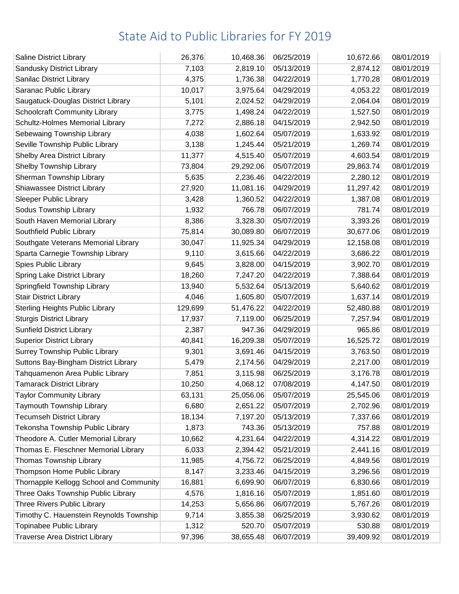| <b>Saline District Library</b>          | 26,376  | 10,468.36 | 06/25/2019 | 10,672.66 | 08/01/2019 |
|-----------------------------------------|---------|-----------|------------|-----------|------------|
| Sandusky District Library               | 7,103   | 2,819.10  | 05/13/2019 | 2,874.12  | 08/01/2019 |
| Sanilac District Library                | 4,375   | 1,736.38  | 04/22/2019 | 1,770.28  | 08/01/2019 |
| Saranac Public Library                  | 10,017  | 3,975.64  | 04/29/2019 | 4,053.22  | 08/01/2019 |
| Saugatuck-Douglas District Library      | 5,101   | 2,024.52  | 04/29/2019 | 2,064.04  | 08/01/2019 |
| <b>Schoolcraft Community Library</b>    | 3,775   | 1,498.24  | 04/22/2019 | 1,527.50  | 08/01/2019 |
| Schultz-Holmes Memorial Library         | 7,272   | 2,886.18  | 04/15/2019 | 2,942.50  | 08/01/2019 |
| Sebewaing Township Library              | 4,038   | 1,602.64  | 05/07/2019 | 1,633.92  | 08/01/2019 |
| Seville Township Public Library         | 3,138   | 1,245.44  | 05/21/2019 | 1,269.74  | 08/01/2019 |
| <b>Shelby Area District Library</b>     | 11,377  | 4,515.40  | 05/07/2019 | 4,603.54  | 08/01/2019 |
| Shelby Township Library                 | 73,804  | 29,292.06 | 05/07/2019 | 29,863.74 | 08/01/2019 |
| Sherman Township Library                | 5,635   | 2,236.46  | 04/22/2019 | 2,280.12  | 08/01/2019 |
| Shiawassee District Library             | 27,920  | 11,081.16 | 04/29/2019 | 11,297.42 | 08/01/2019 |
| <b>Sleeper Public Library</b>           | 3,428   | 1,360.52  | 04/22/2019 | 1,387.08  | 08/01/2019 |
| Sodus Township Library                  | 1,932   | 766.78    | 06/07/2019 | 781.74    | 08/01/2019 |
| South Haven Memorial Library            | 8,386   | 3,328.30  | 05/07/2019 | 3,393.26  | 08/01/2019 |
| Southfield Public Library               | 75,814  | 30,089.80 | 06/07/2019 | 30,677.06 | 08/01/2019 |
| Southgate Veterans Memorial Library     | 30,047  | 11,925.34 | 04/29/2019 | 12,158.08 | 08/01/2019 |
| Sparta Carnegie Township Library        | 9,110   | 3,615.66  | 04/22/2019 | 3,686.22  | 08/01/2019 |
| Spies Public Library                    | 9,645   | 3,828.00  | 04/15/2019 | 3,902.70  | 08/01/2019 |
| Spring Lake District Library            | 18,260  | 7,247.20  | 04/22/2019 | 7,388.64  | 08/01/2019 |
| Springfield Township Library            | 13,940  | 5,532.64  | 05/13/2019 | 5,640.62  | 08/01/2019 |
| Stair District Library                  | 4,046   | 1,605.80  | 05/07/2019 | 1,637.14  | 08/01/2019 |
| <b>Sterling Heights Public Library</b>  | 129,699 | 51,476.22 | 04/22/2019 | 52,480.88 | 08/01/2019 |
| <b>Sturgis District Library</b>         | 17,937  | 7,119.00  | 06/25/2019 | 7,257.94  | 08/01/2019 |
| <b>Sunfield District Library</b>        | 2,387   | 947.36    | 04/29/2019 | 965.86    | 08/01/2019 |
| <b>Superior District Library</b>        | 40,841  | 16,209.38 | 05/07/2019 | 16,525.72 | 08/01/2019 |
| <b>Surrey Township Public Library</b>   | 9,301   | 3,691.46  | 04/15/2019 | 3,763.50  | 08/01/2019 |
| Suttons Bay-Bingham District Library    | 5,479   | 2,174.56  | 04/29/2019 | 2,217.00  | 08/01/2019 |
| Tahquamenon Area Public Library         | 7,851   | 3,115.98  | 06/25/2019 | 3,176.78  | 08/01/2019 |
| <b>Tamarack District Library</b>        | 10,250  | 4,068.12  | 07/08/2019 | 4,147.50  | 08/01/2019 |
| <b>Taylor Community Library</b>         | 63,131  | 25,056.06 | 05/07/2019 | 25,545.06 | 08/01/2019 |
| Taymouth Township Library               | 6,680   | 2,651.22  | 05/07/2019 | 2,702.96  | 08/01/2019 |
| <b>Tecumseh District Library</b>        | 18,134  | 7,197.20  | 05/13/2019 | 7,337.66  | 08/01/2019 |
| Tekonsha Township Public Library        | 1,873   | 743.36    | 05/13/2019 | 757.88    | 08/01/2019 |
| Theodore A. Cutler Memorial Library     | 10,662  | 4,231.64  | 04/22/2019 | 4,314.22  | 08/01/2019 |
| Thomas E. Fleschner Memorial Library    | 6,033   | 2,394.42  | 05/21/2019 | 2,441.16  | 08/01/2019 |
| Thomas Township Library                 | 11,985  | 4,756.72  | 06/25/2019 | 4,849.56  | 08/01/2019 |
| Thompson Home Public Library            | 8,147   | 3,233.46  | 04/15/2019 | 3,296.56  | 08/01/2019 |
| Thornapple Kellogg School and Community | 16,881  | 6,699.90  | 06/07/2019 | 6,830.66  | 08/01/2019 |
| Three Oaks Township Public Library      | 4,576   | 1,816.16  | 05/07/2019 | 1,851.60  | 08/01/2019 |
| Three Rivers Public Library             | 14,253  | 5,656.86  | 06/07/2019 | 5,767.26  | 08/01/2019 |
| Timothy C. Hauenstein Reynolds Township | 9,714   | 3,855.38  | 06/25/2019 | 3,930.62  | 08/01/2019 |
| Topinabee Public Library                | 1,312   | 520.70    | 05/07/2019 | 530.88    | 08/01/2019 |
| <b>Traverse Area District Library</b>   | 97,396  | 38,655.48 | 06/07/2019 | 39,409.92 | 08/01/2019 |